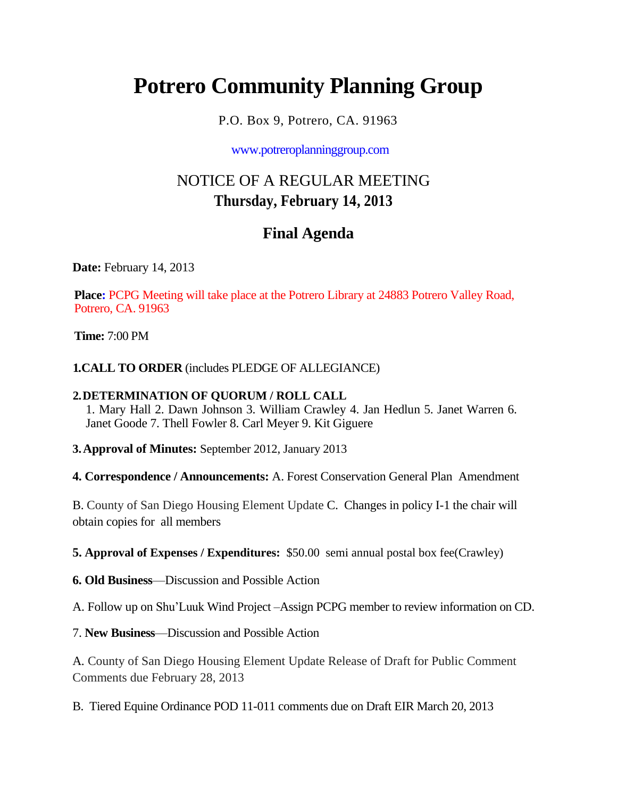# **Potrero Community Planning Group**

P.O. Box 9, Potrero, CA. 91963

www.potreroplanninggroup.com

## NOTICE OF A REGULAR MEETING **Thursday, February 14, 2013**

### **Final Agenda**

**Date:** February 14, 2013

**Place:** PCPG Meeting will take place at the Potrero Library at 24883 Potrero Valley Road, Potrero, CA. 91963

**Time:** 7:00 PM

**1.CALL TO ORDER** (includes PLEDGE OF ALLEGIANCE)

#### **2.DETERMINATION OF QUORUM / ROLL CALL**

1. Mary Hall 2. Dawn Johnson 3. William Crawley 4. Jan Hedlun 5. Janet Warren 6. Janet Goode 7. Thell Fowler 8. Carl Meyer 9. Kit Giguere

**3.Approval of Minutes:** September 2012, January 2013

**4. Correspondence / Announcements:** A. Forest Conservation General Plan Amendment

B. County of San Diego Housing Element Update C. Changes in policy I-1 the chair will obtain copies for all members

**5. Approval of Expenses / Expenditures:** \$50.00 semi annual postal box fee(Crawley)

**6. Old Business**—Discussion and Possible Action

A. Follow up on Shu'Luuk Wind Project –Assign PCPG member to review information on CD.

7. **New Business**—Discussion and Possible Action

A. County of San Diego Housing Element Update Release of Draft for Public Comment Comments due February 28, 2013

B. Tiered Equine Ordinance POD 11-011 comments due on Draft EIR March 20, 2013